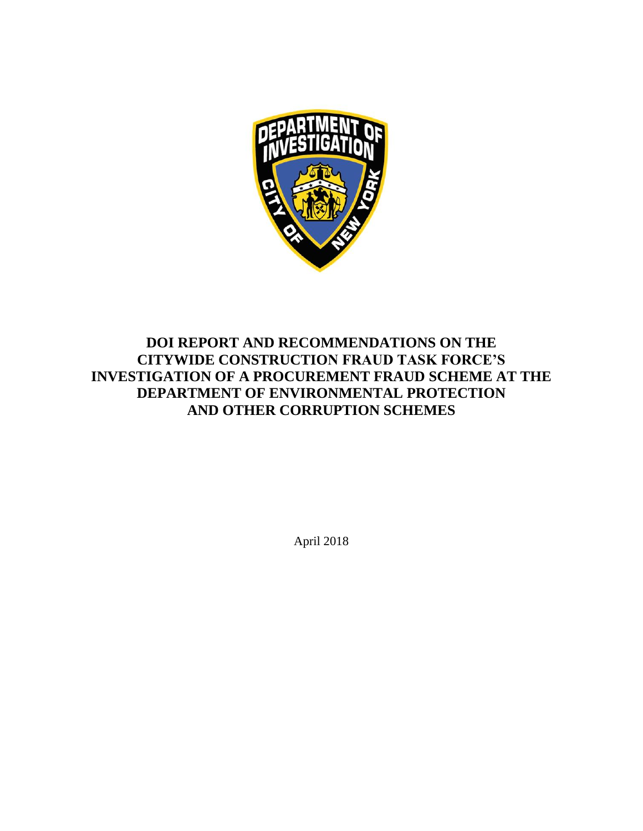

# **DOI REPORT AND RECOMMENDATIONS ON THE CITYWIDE CONSTRUCTION FRAUD TASK FORCE'S INVESTIGATION OF A PROCUREMENT FRAUD SCHEME AT THE DEPARTMENT OF ENVIRONMENTAL PROTECTION AND OTHER CORRUPTION SCHEMES**

April 2018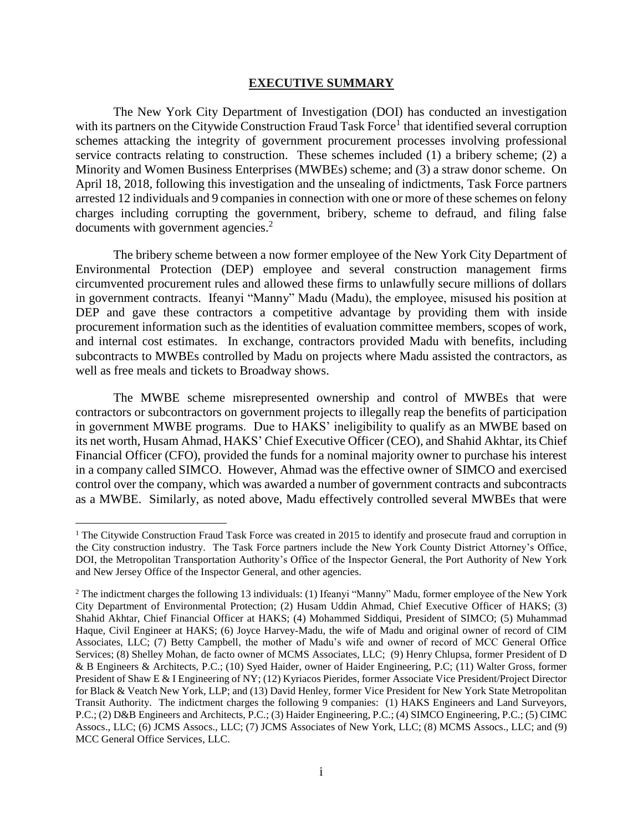#### **EXECUTIVE SUMMARY**

The New York City Department of Investigation (DOI) has conducted an investigation with its partners on the Citywide Construction Fraud Task Force<sup>1</sup> that identified several corruption schemes attacking the integrity of government procurement processes involving professional service contracts relating to construction. These schemes included (1) a bribery scheme; (2) a Minority and Women Business Enterprises (MWBEs) scheme; and (3) a straw donor scheme. On April 18, 2018, following this investigation and the unsealing of indictments, Task Force partners arrested 12 individuals and 9 companies in connection with one or more of these schemes on felony charges including corrupting the government, bribery, scheme to defraud, and filing false documents with government agencies.<sup>2</sup>

The bribery scheme between a now former employee of the New York City Department of Environmental Protection (DEP) employee and several construction management firms circumvented procurement rules and allowed these firms to unlawfully secure millions of dollars in government contracts. Ifeanyi "Manny" Madu (Madu), the employee, misused his position at DEP and gave these contractors a competitive advantage by providing them with inside procurement information such as the identities of evaluation committee members, scopes of work, and internal cost estimates. In exchange, contractors provided Madu with benefits, including subcontracts to MWBEs controlled by Madu on projects where Madu assisted the contractors, as well as free meals and tickets to Broadway shows.

The MWBE scheme misrepresented ownership and control of MWBEs that were contractors or subcontractors on government projects to illegally reap the benefits of participation in government MWBE programs. Due to HAKS' ineligibility to qualify as an MWBE based on its net worth, Husam Ahmad, HAKS' Chief Executive Officer (CEO), and Shahid Akhtar, its Chief Financial Officer (CFO), provided the funds for a nominal majority owner to purchase his interest in a company called SIMCO. However, Ahmad was the effective owner of SIMCO and exercised control over the company, which was awarded a number of government contracts and subcontracts as a MWBE. Similarly, as noted above, Madu effectively controlled several MWBEs that were

 $\overline{a}$ 

<sup>&</sup>lt;sup>1</sup> The Citywide Construction Fraud Task Force was created in 2015 to identify and prosecute fraud and corruption in the City construction industry. The Task Force partners include the New York County District Attorney's Office, DOI, the Metropolitan Transportation Authority's Office of the Inspector General, the Port Authority of New York and New Jersey Office of the Inspector General, and other agencies.

<sup>&</sup>lt;sup>2</sup> The indictment charges the following 13 individuals: (1) Ifeanyi "Manny" Madu, former employee of the New York City Department of Environmental Protection; (2) Husam Uddin Ahmad, Chief Executive Officer of HAKS; (3) Shahid Akhtar, Chief Financial Officer at HAKS; (4) Mohammed Siddiqui, President of SIMCO; (5) Muhammad Haque, Civil Engineer at HAKS; (6) Joyce Harvey-Madu, the wife of Madu and original owner of record of CIM Associates, LLC; (7) Betty Campbell, the mother of Madu's wife and owner of record of MCC General Office Services; (8) Shelley Mohan, de facto owner of MCMS Associates, LLC; (9) Henry Chlupsa, former President of D & B Engineers & Architects, P.C.; (10) Syed Haider, owner of Haider Engineering, P.C; (11) Walter Gross, former President of Shaw E & I Engineering of NY; (12) Kyriacos Pierides, former Associate Vice President/Project Director for Black & Veatch New York, LLP; and (13) David Henley, former Vice President for New York State Metropolitan Transit Authority. The indictment charges the following 9 companies: (1) HAKS Engineers and Land Surveyors, P.C.; (2) D&B Engineers and Architects, P.C.; (3) Haider Engineering, P.C.; (4) SIMCO Engineering, P.C.; (5) CIMC Assocs., LLC; (6) JCMS Assocs., LLC; (7) JCMS Associates of New York, LLC; (8) MCMS Assocs., LLC; and (9) MCC General Office Services, LLC.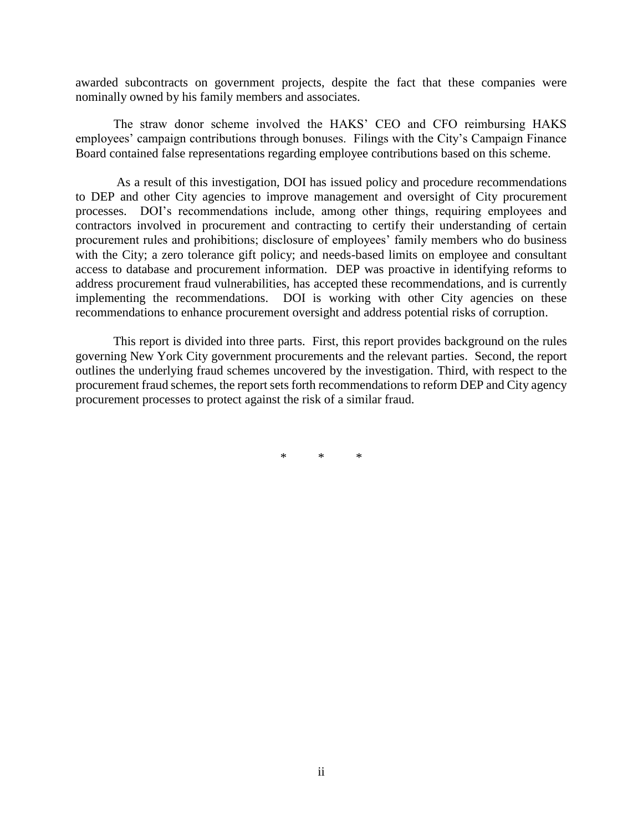awarded subcontracts on government projects, despite the fact that these companies were nominally owned by his family members and associates.

The straw donor scheme involved the HAKS' CEO and CFO reimbursing HAKS employees' campaign contributions through bonuses. Filings with the City's Campaign Finance Board contained false representations regarding employee contributions based on this scheme.

As a result of this investigation, DOI has issued policy and procedure recommendations to DEP and other City agencies to improve management and oversight of City procurement processes. DOI's recommendations include, among other things, requiring employees and contractors involved in procurement and contracting to certify their understanding of certain procurement rules and prohibitions; disclosure of employees' family members who do business with the City; a zero tolerance gift policy; and needs-based limits on employee and consultant access to database and procurement information. DEP was proactive in identifying reforms to address procurement fraud vulnerabilities, has accepted these recommendations, and is currently implementing the recommendations. DOI is working with other City agencies on these recommendations to enhance procurement oversight and address potential risks of corruption.

This report is divided into three parts. First, this report provides background on the rules governing New York City government procurements and the relevant parties. Second, the report outlines the underlying fraud schemes uncovered by the investigation. Third, with respect to the procurement fraud schemes, the report sets forth recommendations to reform DEP and City agency procurement processes to protect against the risk of a similar fraud.

\* \* \*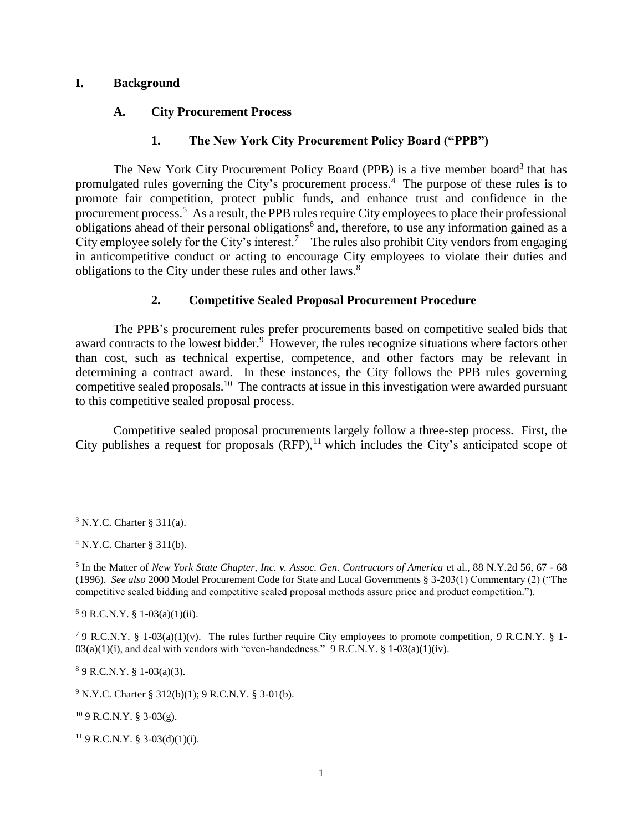#### **I. Background**

#### **A. City Procurement Process**

#### **1. The New York City Procurement Policy Board ("PPB")**

The New York City Procurement Policy Board (PPB) is a five member board<sup>3</sup> that has promulgated rules governing the City's procurement process. 4 The purpose of these rules is to promote fair competition, protect public funds, and enhance trust and confidence in the procurement process.<sup>5</sup> As a result, the PPB rules require City employees to place their professional obligations ahead of their personal obligations<sup>6</sup> and, therefore, to use any information gained as a City employee solely for the City's interest.<sup>7</sup> The rules also prohibit City vendors from engaging in anticompetitive conduct or acting to encourage City employees to violate their duties and obligations to the City under these rules and other laws.<sup>8</sup>

#### **2. Competitive Sealed Proposal Procurement Procedure**

The PPB's procurement rules prefer procurements based on competitive sealed bids that award contracts to the lowest bidder.<sup>9</sup> However, the rules recognize situations where factors other than cost, such as technical expertise, competence, and other factors may be relevant in determining a contract award. In these instances, the City follows the PPB rules governing competitive sealed proposals.<sup>10</sup> The contracts at issue in this investigation were awarded pursuant to this competitive sealed proposal process.

Competitive sealed proposal procurements largely follow a three-step process. First, the City publishes a request for proposals  $(RFP)$ ,<sup>11</sup> which includes the City's anticipated scope of

 $\overline{a}$ 

 $4$  N.Y.C. Charter § 311(b).

 $69$  R.C.N.Y. § 1-03(a)(1)(ii).

<sup>7</sup> 9 R.C.N.Y. § 1-03(a)(1)(y). The rules further require City employees to promote competition, 9 R.C.N.Y. § 1- $03(a)(1)(i)$ , and deal with vendors with "even-handedness." 9 R.C.N.Y. § 1-03(a)(1)(iv).

<sup>8</sup> 9 R.C.N.Y. § 1-03(a)(3).

 $9$  N.Y.C. Charter § 312(b)(1); 9 R.C.N.Y. § 3-01(b).

 $109$  R.C.N.Y. § 3-03(g).

<sup>11</sup> 9 R.C.N.Y. § 3-03(d)(1)(i).

 $3$  N.Y.C. Charter § 311(a).

<sup>&</sup>lt;sup>5</sup> In the Matter of *New York State Chapter, Inc. v. Assoc. Gen. Contractors of America* et al., 88 N.Y.2d 56, 67 - 68 (1996). *See also* 2000 Model Procurement Code for State and Local Governments § 3-203(1) Commentary (2) ("The competitive sealed bidding and competitive sealed proposal methods assure price and product competition.").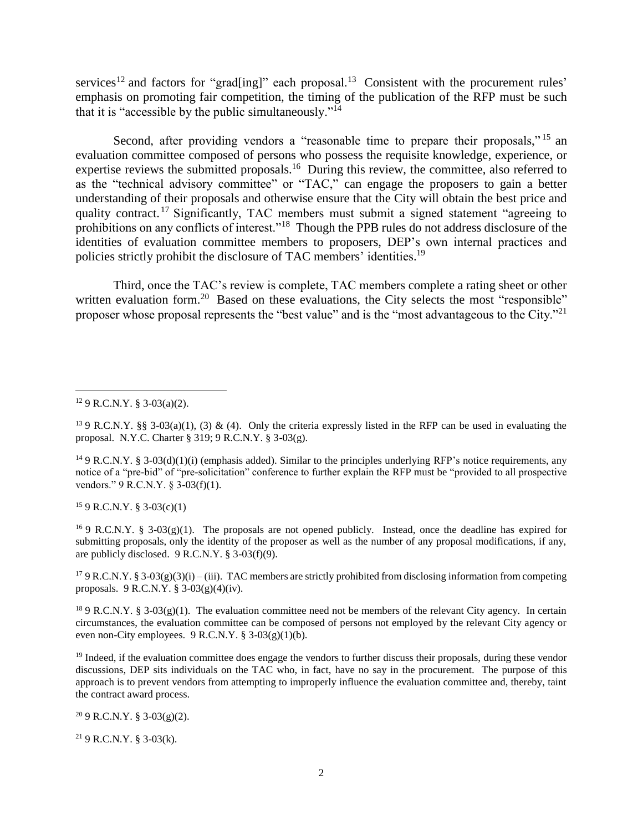services<sup>12</sup> and factors for "grad[ing]" each proposal.<sup>13</sup> Consistent with the procurement rules' emphasis on promoting fair competition, the timing of the publication of the RFP must be such that it is "accessible by the public simultaneously." $I<sup>4</sup>$ 

Second, after providing vendors a "reasonable time to prepare their proposals,"<sup>15</sup> an evaluation committee composed of persons who possess the requisite knowledge, experience, or expertise reviews the submitted proposals.<sup>16</sup> During this review, the committee, also referred to as the "technical advisory committee" or "TAC," can engage the proposers to gain a better understanding of their proposals and otherwise ensure that the City will obtain the best price and quality contract.<sup>17</sup> Significantly, TAC members must submit a signed statement "agreeing to prohibitions on any conflicts of interest."<sup>18</sup> Though the PPB rules do not address disclosure of the identities of evaluation committee members to proposers, DEP's own internal practices and policies strictly prohibit the disclosure of TAC members' identities.<sup>19</sup>

Third, once the TAC's review is complete, TAC members complete a rating sheet or other written evaluation form.<sup>20</sup> Based on these evaluations, the City selects the most "responsible" proposer whose proposal represents the "best value" and is the "most advantageous to the City."<sup>21</sup>

 $\overline{a}$ 

<sup>13</sup> 9 R.C.N.Y. §§ 3-03(a)(1), (3) & (4). Only the criteria expressly listed in the RFP can be used in evaluating the proposal. N.Y.C. Charter § 319; 9 R.C.N.Y. § 3-03(g).

 $159$  R.C.N.Y. § 3-03(c)(1)

<sup>16</sup> 9 R.C.N.Y. § 3-03(g)(1). The proposals are not opened publicly. Instead, once the deadline has expired for submitting proposals, only the identity of the proposer as well as the number of any proposal modifications, if any, are publicly disclosed. 9 R.C.N.Y. § 3-03(f)(9).

<sup>17</sup> 9 R.C.N.Y. § 3-03(g)(3)(i) – (iii). TAC members are strictly prohibited from disclosing information from competing proposals. 9 R.C.N.Y. § 3-03(g)(4)(iv).

<sup>18</sup> 9 R.C.N.Y. § 3-03(g)(1). The evaluation committee need not be members of the relevant City agency. In certain circumstances, the evaluation committee can be composed of persons not employed by the relevant City agency or even non-City employees. 9 R.C.N.Y. § 3-03(g)(1)(b).

 $<sup>19</sup>$  Indeed, if the evaluation committee does engage the vendors to further discuss their proposals, during these vendor</sup> discussions, DEP sits individuals on the TAC who, in fact, have no say in the procurement. The purpose of this approach is to prevent vendors from attempting to improperly influence the evaluation committee and, thereby, taint the contract award process.

 $20 \text{ }9 \text{ }R.C.N.Y. \text{ }§ 3-03(g)(2).$ 

<sup>21</sup> 9 R.C.N.Y. § 3-03(k).

 $129$  R.C.N.Y. § 3-03(a)(2).

<sup>&</sup>lt;sup>14</sup> 9 R.C.N.Y. § 3-03(d)(1)(i) (emphasis added). Similar to the principles underlying RFP's notice requirements, any notice of a "pre-bid" of "pre-solicitation" conference to further explain the RFP must be "provided to all prospective vendors." 9 R.C.N.Y. § 3-03(f)(1).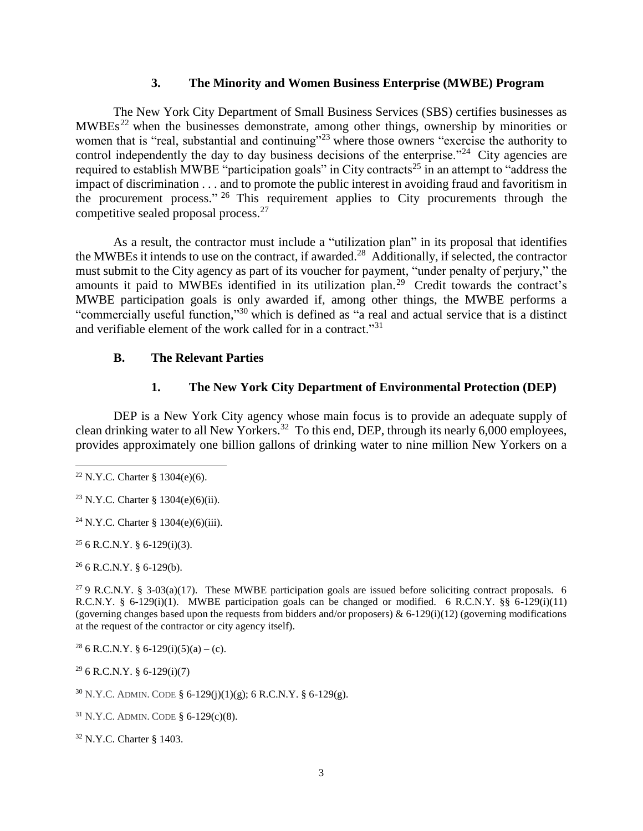#### **3. The Minority and Women Business Enterprise (MWBE) Program**

The New York City Department of Small Business Services (SBS) certifies businesses as MWBEs<sup>22</sup> when the businesses demonstrate, among other things, ownership by minorities or women that is "real, substantial and continuing"<sup>23</sup> where those owners "exercise the authority to control independently the day to day business decisions of the enterprise.<sup> $24$ </sup> City agencies are required to establish MWBE "participation goals" in City contracts<sup>25</sup> in an attempt to "address the impact of discrimination . . . and to promote the public interest in avoiding fraud and favoritism in the procurement process."  $26$  This requirement applies to City procurements through the competitive sealed proposal process.<sup>27</sup>

As a result, the contractor must include a "utilization plan" in its proposal that identifies the MWBEs it intends to use on the contract, if awarded.<sup>28</sup> Additionally, if selected, the contractor must submit to the City agency as part of its voucher for payment, "under penalty of perjury," the amounts it paid to MWBEs identified in its utilization plan.<sup>29</sup> Credit towards the contract's MWBE participation goals is only awarded if, among other things, the MWBE performs a "commercially useful function," <sup>30</sup> which is defined as "a real and actual service that is a distinct and verifiable element of the work called for in a contract."<sup>31</sup>

#### **B. The Relevant Parties**

## **1. The New York City Department of Environmental Protection (DEP)**

DEP is a New York City agency whose main focus is to provide an adequate supply of clean drinking water to all New Yorkers.<sup>32</sup> To this end, DEP, through its nearly 6,000 employees, provides approximately one billion gallons of drinking water to nine million New Yorkers on a

 $\overline{a}$ 

 $25 6 R.C.N.Y. § 6-129(i)(3).$ 

 $26$  6 R.C.N.Y. § 6-129(b).

<sup>27</sup> 9 R.C.N.Y. § 3-03(a)(17). These MWBE participation goals are issued before soliciting contract proposals. 6 R.C.N.Y. § 6-129(i)(1). MWBE participation goals can be changed or modified. 6 R.C.N.Y. §§ 6-129(i)(11) (governing changes based upon the requests from bidders and/or proposers) &  $6-129(i)(12)$  (governing modifications at the request of the contractor or city agency itself).

<sup>28</sup> 6 R.C.N.Y. § 6-129(i)(5)(a) – (c).

 $296$  R.C.N.Y. § 6-129(i)(7)

 $30$  N.Y.C. ADMIN. CODE § 6-129(j)(1)(g); 6 R.C.N.Y. § 6-129(g).

<sup>31</sup> N.Y.C. ADMIN. CODE § 6-129(c)(8).

<sup>32</sup> N.Y.C. Charter § 1403.

 $22$  N.Y.C. Charter § 1304(e)(6).

<sup>23</sup> N.Y.C. Charter § 1304(e)(6)(ii).

<sup>&</sup>lt;sup>24</sup> N.Y.C. Charter § 1304(e)(6)(iii).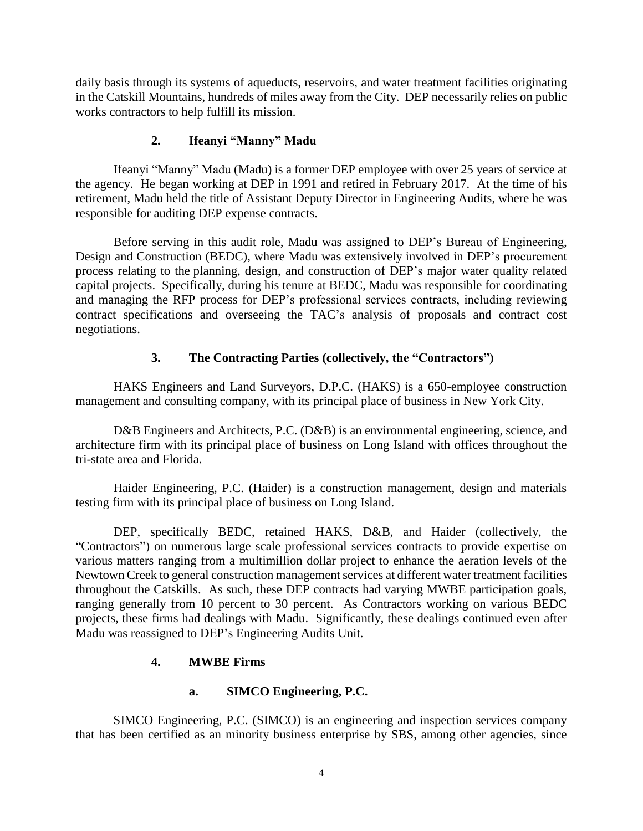daily basis through its systems of aqueducts, reservoirs, and water treatment facilities originating in the Catskill Mountains, hundreds of miles away from the City. DEP necessarily relies on public works contractors to help fulfill its mission.

# **2. Ifeanyi "Manny" Madu**

Ifeanyi "Manny" Madu (Madu) is a former DEP employee with over 25 years of service at the agency. He began working at DEP in 1991 and retired in February 2017. At the time of his retirement, Madu held the title of Assistant Deputy Director in Engineering Audits, where he was responsible for auditing DEP expense contracts.

Before serving in this audit role, Madu was assigned to DEP's Bureau of Engineering, Design and Construction (BEDC), where Madu was extensively involved in DEP's procurement process relating to the planning, design, and construction of DEP's major water quality related capital projects. Specifically, during his tenure at BEDC, Madu was responsible for coordinating and managing the RFP process for DEP's professional services contracts, including reviewing contract specifications and overseeing the TAC's analysis of proposals and contract cost negotiations.

# **3. The Contracting Parties (collectively, the "Contractors")**

HAKS Engineers and Land Surveyors, D.P.C. (HAKS) is a 650-employee construction management and consulting company, with its principal place of business in New York City.

D&B Engineers and Architects, P.C. (D&B) is an environmental engineering, science, and architecture firm with its principal place of business on Long Island with offices throughout the tri-state area and Florida.

Haider Engineering, P.C. (Haider) is a construction management, design and materials testing firm with its principal place of business on Long Island.

DEP, specifically BEDC, retained HAKS, D&B, and Haider (collectively, the "Contractors") on numerous large scale professional services contracts to provide expertise on various matters ranging from a multimillion dollar project to enhance the aeration levels of the Newtown Creek to general construction management services at different water treatment facilities throughout the Catskills. As such, these DEP contracts had varying MWBE participation goals, ranging generally from 10 percent to 30 percent. As Contractors working on various BEDC projects, these firms had dealings with Madu. Significantly, these dealings continued even after Madu was reassigned to DEP's Engineering Audits Unit.

# **4. MWBE Firms**

# **a. SIMCO Engineering, P.C.**

SIMCO Engineering, P.C. (SIMCO) is an engineering and inspection services company that has been certified as an minority business enterprise by SBS, among other agencies, since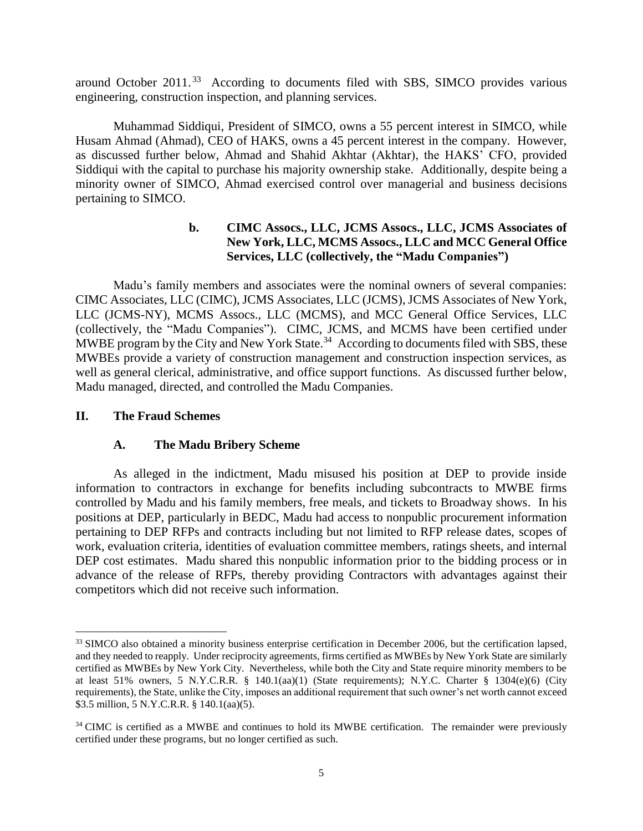around October  $2011$ .<sup>33</sup> According to documents filed with SBS, SIMCO provides various engineering, construction inspection, and planning services.

Muhammad Siddiqui, President of SIMCO, owns a 55 percent interest in SIMCO, while Husam Ahmad (Ahmad), CEO of HAKS, owns a 45 percent interest in the company. However, as discussed further below, Ahmad and Shahid Akhtar (Akhtar), the HAKS' CFO, provided Siddiqui with the capital to purchase his majority ownership stake. Additionally, despite being a minority owner of SIMCO, Ahmad exercised control over managerial and business decisions pertaining to SIMCO.

# **b. CIMC Assocs., LLC, JCMS Assocs., LLC, JCMS Associates of New York, LLC, MCMS Assocs., LLC and MCC General Office Services, LLC (collectively, the "Madu Companies")**

Madu's family members and associates were the nominal owners of several companies: CIMC Associates, LLC (CIMC), JCMS Associates, LLC (JCMS), JCMS Associates of New York, LLC (JCMS-NY), MCMS Assocs., LLC (MCMS), and MCC General Office Services, LLC (collectively, the "Madu Companies"). CIMC, JCMS, and MCMS have been certified under MWBE program by the City and New York State.<sup>34</sup> According to documents filed with SBS, these MWBEs provide a variety of construction management and construction inspection services, as well as general clerical, administrative, and office support functions. As discussed further below, Madu managed, directed, and controlled the Madu Companies.

#### **II. The Fraud Schemes**

 $\overline{a}$ 

#### **A. The Madu Bribery Scheme**

As alleged in the indictment, Madu misused his position at DEP to provide inside information to contractors in exchange for benefits including subcontracts to MWBE firms controlled by Madu and his family members, free meals, and tickets to Broadway shows. In his positions at DEP, particularly in BEDC, Madu had access to nonpublic procurement information pertaining to DEP RFPs and contracts including but not limited to RFP release dates, scopes of work, evaluation criteria, identities of evaluation committee members, ratings sheets, and internal DEP cost estimates. Madu shared this nonpublic information prior to the bidding process or in advance of the release of RFPs, thereby providing Contractors with advantages against their competitors which did not receive such information.

<sup>&</sup>lt;sup>33</sup> SIMCO also obtained a minority business enterprise certification in December 2006, but the certification lapsed, and they needed to reapply. Under reciprocity agreements, firms certified as MWBEs by New York State are similarly certified as MWBEs by New York City. Nevertheless, while both the City and State require minority members to be at least 51% owners, 5 N.Y.C.R.R. § 140.1(aa)(1) (State requirements); N.Y.C. Charter § 1304(e)(6) (City requirements), the State, unlike the City, imposes an additional requirement that such owner's net worth cannot exceed \$3.5 million, 5 N.Y.C.R.R. § 140.1(aa)(5).

<sup>&</sup>lt;sup>34</sup> CIMC is certified as a MWBE and continues to hold its MWBE certification. The remainder were previously certified under these programs, but no longer certified as such.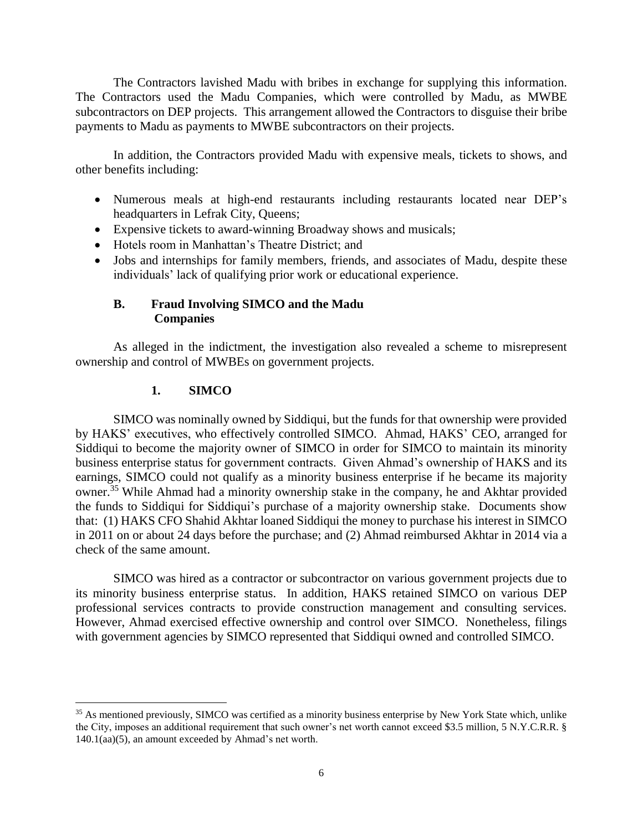The Contractors lavished Madu with bribes in exchange for supplying this information. The Contractors used the Madu Companies, which were controlled by Madu, as MWBE subcontractors on DEP projects. This arrangement allowed the Contractors to disguise their bribe payments to Madu as payments to MWBE subcontractors on their projects.

In addition, the Contractors provided Madu with expensive meals, tickets to shows, and other benefits including:

- Numerous meals at high-end restaurants including restaurants located near DEP's headquarters in Lefrak City, Queens;
- Expensive tickets to award-winning Broadway shows and musicals;
- Hotels room in Manhattan's Theatre District; and
- Jobs and internships for family members, friends, and associates of Madu, despite these individuals' lack of qualifying prior work or educational experience.

# **B. Fraud Involving SIMCO and the Madu Companies**

As alleged in the indictment, the investigation also revealed a scheme to misrepresent ownership and control of MWBEs on government projects.

# **1. SIMCO**

 $\overline{a}$ 

SIMCO was nominally owned by Siddiqui, but the funds for that ownership were provided by HAKS' executives, who effectively controlled SIMCO. Ahmad, HAKS' CEO, arranged for Siddiqui to become the majority owner of SIMCO in order for SIMCO to maintain its minority business enterprise status for government contracts. Given Ahmad's ownership of HAKS and its earnings, SIMCO could not qualify as a minority business enterprise if he became its majority owner.<sup>35</sup> While Ahmad had a minority ownership stake in the company, he and Akhtar provided the funds to Siddiqui for Siddiqui's purchase of a majority ownership stake. Documents show that: (1) HAKS CFO Shahid Akhtar loaned Siddiqui the money to purchase his interest in SIMCO in 2011 on or about 24 days before the purchase; and (2) Ahmad reimbursed Akhtar in 2014 via a check of the same amount.

SIMCO was hired as a contractor or subcontractor on various government projects due to its minority business enterprise status. In addition, HAKS retained SIMCO on various DEP professional services contracts to provide construction management and consulting services. However, Ahmad exercised effective ownership and control over SIMCO. Nonetheless, filings with government agencies by SIMCO represented that Siddiqui owned and controlled SIMCO.

<sup>&</sup>lt;sup>35</sup> As mentioned previously, SIMCO was certified as a minority business enterprise by New York State which, unlike the City, imposes an additional requirement that such owner's net worth cannot exceed \$3.5 million, 5 N.Y.C.R.R. § 140.1(aa)(5), an amount exceeded by Ahmad's net worth.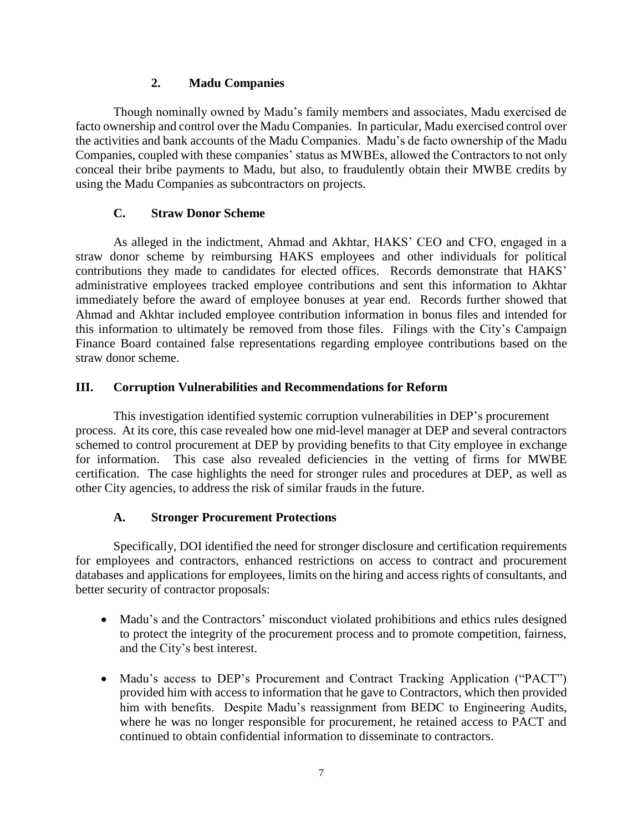# **2. Madu Companies**

Though nominally owned by Madu's family members and associates, Madu exercised de facto ownership and control over the Madu Companies. In particular, Madu exercised control over the activities and bank accounts of the Madu Companies. Madu's de facto ownership of the Madu Companies, coupled with these companies' status as MWBEs, allowed the Contractors to not only conceal their bribe payments to Madu, but also, to fraudulently obtain their MWBE credits by using the Madu Companies as subcontractors on projects.

## **C. Straw Donor Scheme**

As alleged in the indictment, Ahmad and Akhtar, HAKS' CEO and CFO, engaged in a straw donor scheme by reimbursing HAKS employees and other individuals for political contributions they made to candidates for elected offices. Records demonstrate that HAKS' administrative employees tracked employee contributions and sent this information to Akhtar immediately before the award of employee bonuses at year end. Records further showed that Ahmad and Akhtar included employee contribution information in bonus files and intended for this information to ultimately be removed from those files. Filings with the City's Campaign Finance Board contained false representations regarding employee contributions based on the straw donor scheme.

## **III. Corruption Vulnerabilities and Recommendations for Reform**

This investigation identified systemic corruption vulnerabilities in DEP's procurement process. At its core, this case revealed how one mid-level manager at DEP and several contractors schemed to control procurement at DEP by providing benefits to that City employee in exchange for information. This case also revealed deficiencies in the vetting of firms for MWBE certification. The case highlights the need for stronger rules and procedures at DEP, as well as other City agencies, to address the risk of similar frauds in the future.

# **A. Stronger Procurement Protections**

Specifically, DOI identified the need for stronger disclosure and certification requirements for employees and contractors, enhanced restrictions on access to contract and procurement databases and applications for employees, limits on the hiring and access rights of consultants, and better security of contractor proposals:

- Madu's and the Contractors' misconduct violated prohibitions and ethics rules designed to protect the integrity of the procurement process and to promote competition, fairness, and the City's best interest.
- Madu's access to DEP's Procurement and Contract Tracking Application ("PACT") provided him with access to information that he gave to Contractors, which then provided him with benefits. Despite Madu's reassignment from BEDC to Engineering Audits, where he was no longer responsible for procurement, he retained access to PACT and continued to obtain confidential information to disseminate to contractors.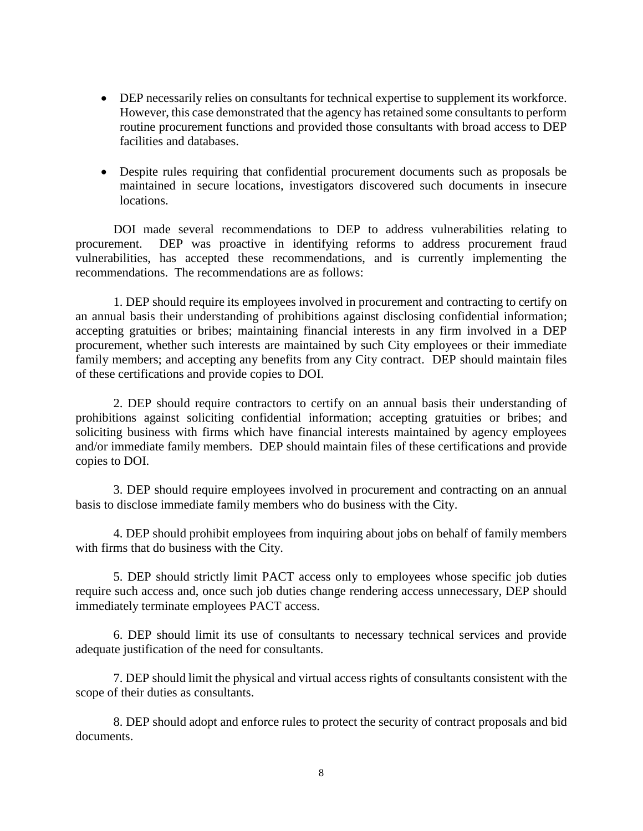- DEP necessarily relies on consultants for technical expertise to supplement its workforce. However, this case demonstrated that the agency has retained some consultants to perform routine procurement functions and provided those consultants with broad access to DEP facilities and databases.
- Despite rules requiring that confidential procurement documents such as proposals be maintained in secure locations, investigators discovered such documents in insecure locations.

DOI made several recommendations to DEP to address vulnerabilities relating to procurement. DEP was proactive in identifying reforms to address procurement fraud vulnerabilities, has accepted these recommendations, and is currently implementing the recommendations. The recommendations are as follows:

1. DEP should require its employees involved in procurement and contracting to certify on an annual basis their understanding of prohibitions against disclosing confidential information; accepting gratuities or bribes; maintaining financial interests in any firm involved in a DEP procurement, whether such interests are maintained by such City employees or their immediate family members; and accepting any benefits from any City contract. DEP should maintain files of these certifications and provide copies to DOI.

2. DEP should require contractors to certify on an annual basis their understanding of prohibitions against soliciting confidential information; accepting gratuities or bribes; and soliciting business with firms which have financial interests maintained by agency employees and/or immediate family members. DEP should maintain files of these certifications and provide copies to DOI.

3. DEP should require employees involved in procurement and contracting on an annual basis to disclose immediate family members who do business with the City.

4. DEP should prohibit employees from inquiring about jobs on behalf of family members with firms that do business with the City.

5. DEP should strictly limit PACT access only to employees whose specific job duties require such access and, once such job duties change rendering access unnecessary, DEP should immediately terminate employees PACT access.

6. DEP should limit its use of consultants to necessary technical services and provide adequate justification of the need for consultants.

7. DEP should limit the physical and virtual access rights of consultants consistent with the scope of their duties as consultants.

8. DEP should adopt and enforce rules to protect the security of contract proposals and bid documents.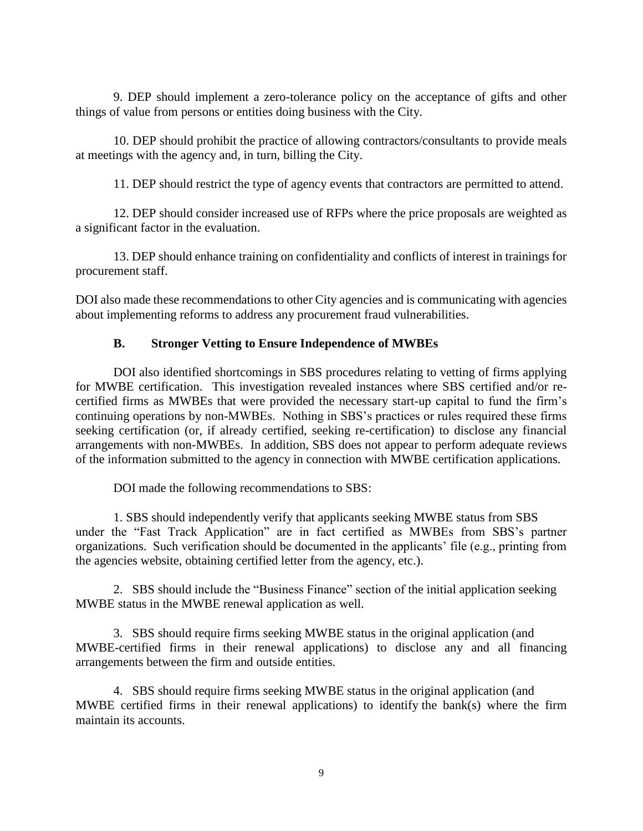9. DEP should implement a zero-tolerance policy on the acceptance of gifts and other things of value from persons or entities doing business with the City.

10. DEP should prohibit the practice of allowing contractors/consultants to provide meals at meetings with the agency and, in turn, billing the City.

11. DEP should restrict the type of agency events that contractors are permitted to attend.

12. DEP should consider increased use of RFPs where the price proposals are weighted as a significant factor in the evaluation.

13. DEP should enhance training on confidentiality and conflicts of interest in trainings for procurement staff.

DOI also made these recommendations to other City agencies and is communicating with agencies about implementing reforms to address any procurement fraud vulnerabilities.

## **B. Stronger Vetting to Ensure Independence of MWBEs**

DOI also identified shortcomings in SBS procedures relating to vetting of firms applying for MWBE certification. This investigation revealed instances where SBS certified and/or recertified firms as MWBEs that were provided the necessary start-up capital to fund the firm's continuing operations by non-MWBEs. Nothing in SBS's practices or rules required these firms seeking certification (or, if already certified, seeking re-certification) to disclose any financial arrangements with non-MWBEs. In addition, SBS does not appear to perform adequate reviews of the information submitted to the agency in connection with MWBE certification applications.

DOI made the following recommendations to SBS:

1. SBS should independently verify that applicants seeking MWBE status from SBS under the "Fast Track Application" are in fact certified as MWBEs from SBS's partner organizations. Such verification should be documented in the applicants' file (e.g., printing from the agencies website, obtaining certified letter from the agency, etc.).

2. SBS should include the "Business Finance" section of the initial application seeking MWBE status in the MWBE renewal application as well.

3. SBS should require firms seeking MWBE status in the original application (and MWBE-certified firms in their renewal applications) to disclose any and all financing arrangements between the firm and outside entities.

4. SBS should require firms seeking MWBE status in the original application (and MWBE certified firms in their renewal applications) to identify the bank(s) where the firm maintain its accounts.